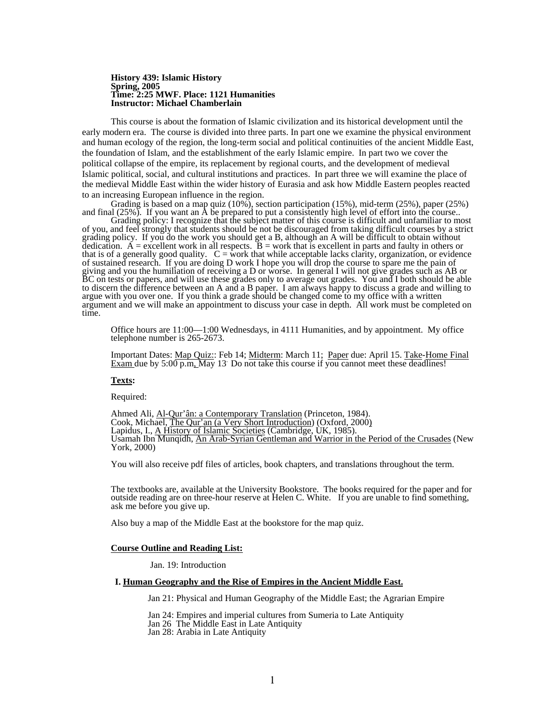#### **History 439: Islamic History Spring, 2005 Time: 2:25 MWF. Place: 1121 Humanities Instructor: Michael Chamberlain**

This course is about the formation of Islamic civilization and its historical development until the early modern era. The course is divided into three parts. In part one we examine the physical environment and human ecology of the region, the long-term social and political continuities of the ancient Middle East, the foundation of Islam, and the establishment of the early Islamic empire. In part two we cover the political collapse of the empire, its replacement by regional courts, and the development of medieval Islamic political, social, and cultural institutions and practices. In part three we will examine the place of the medieval Middle East within the wider history of Eurasia and ask how Middle Eastern peoples reacted to an increasing European influence in the region.

Grading is based on a map quiz (10%), section participation (15%), mid-term (25%), paper (25%) and final (25%). If you want an A be prepared to put a consistently high level of effort into the course..

Grading policy: I recognize that the subject matter of this course is difficult and unfamiliar to most of you, and feel strongly that students should be not be discouraged from taking difficult courses by a strict grading policy. If you do the work you should get a B, although an A will be difficult to obtain without dedication.  $\vec{A}$  = excellent work in all respects.  $\vec{B}$  = work that is excellent in parts and faulty in others or that is of a generally good quality.  $C = \text{work}$  that while acceptable lacks clarity, organization, or evidence of sustained research. If you are doing D work I hope you will drop the course to spare me the pain of giving and you the humiliation of receiving a D or worse. In general I will not give grades such as AB or BC on tests or papers, and will use these grades only to average out grades. You and I both should be able to discern the difference between an A and a B paper. I am always happy to discuss a grade and willing to argue with you over one. If you think a grade should be changed come to my office with a written argument and we will make an appointment to discuss your case in depth. All work must be completed on time.

Office hours are 11:00—1:00 Wednesdays, in 4111 Humanities, and by appointment. My office telephone number is 265-2673.

Important Dates: Map Quiz:: Feb 14; Midterm: March 11; Paper due: April 15. Take-Home Final Exam due by 5:00 p.m, May 13. Do not take this course if you cannot meet these deadlines!

#### **Texts:**

Required:

Ahmed Ali, <u>Al-Qur'ân: a Contemporary Translation</u> (Princeton, 1984).<br>Cook, Michael, <u>The Qur'an (a Very Short Introduction</u>) (Oxford, 2000)<br>Lapidus, I., <u>A History of Islamic Societies</u> (Cambridge, UK, 1985). Usamah Ibn Munqidh, An Arab-Syrian Gentleman and Warrior in the Period of the Crusades (New York, 2000)

You will also receive pdf files of articles, book chapters, and translations throughout the term.

The textbooks are, available at the University Bookstore. The books required for the paper and for outside reading are on three-hour reserve at Helen C. White. If you are unable to find something, ask me before you give up.

Also buy a map of the Middle East at the bookstore for the map quiz.

#### **Course Outline and Reading List:**

Jan. 19: Introduction

# **I. Human Geography and the Rise of Empires in the Ancient Middle East.**

Jan 21: Physical and Human Geography of the Middle East; the Agrarian Empire

Jan 24: Empires and imperial cultures from Sumeria to Late Antiquity

Jan 26 The Middle East in Late Antiquity

Jan 28: Arabia in Late Antiquity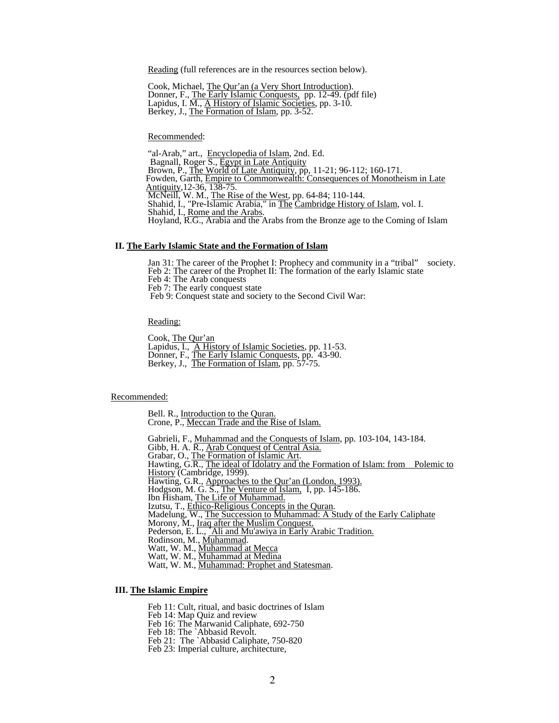Reading (full references are in the resources section below).

 Cook, Michael, The Qur'an (a Very Short Introduction). Donner, F., The Early Islamic Conquests, pp. 12-49. (pdf file) Lapidus, I. M., A History of Islamic Societies, pp. 3-10.<br>Berkey, J., The Formation of Islam, pp. 3-52.

Recommended:<br>"al-Arab," art., <u>Encyclopedia of Islam</u>, 2nd. Ed.<br>Bagnall, Roger S., <u>Egypt in Late Antiquity</u><br>Brown, P., <u>The World of Late Antiquity</u>, pp, 11-21; 96-112; 160-171. Fowden, Garth, Empire to Commonwealth: Consequences of Monotheism in Late Antiquity, 12-36, 138-75.<br>McNeill, W. M., The Rise of the West, pp. 64-84; 110-144.<br>Shahid, I., "Pre-Islamic Arabia," in <u>The Cambridge History of Islam</u>, vol. I.<br>Shahid, I., <u>Rome and the Arabs.</u><br>Hoyland, R.G., Arabia and

## **II. The Early Islamic State and the Formation of Islam**

Jan 31: The career of the Prophet I: Prophecy and community in a "tribal" society. Feb 2: The career of the Prophet II: The formation of the early Islamic state Feb 4: The Arab conquests Feb 7: The early conquest state Feb 9: Conquest state and society to the Second Civil War:

Reading:

Cook, <u>The Qur'an</u><br>Lapidus, I., A History of Islamic Societies, pp. 11-53.<br>Donner, F., <u>The Early Islamic Conquests</u>, pp. 43-90. Berkey, J., The Formation of Islam, pp. 57-75.

Recommended:

Bell. R., Introduction to the Quran.<br>Crone, P., Meccan Trade and the Rise of Islam.

Gabrieli, F., <u>Muhammad and the Conquests of Islam</u>, pp. 103-104, 143-184.<br>Gibb, H. A. R., <u>Arab Conquest of Central Asia.</u><br>Grabar, O., <u>The Formation of Islamic Art</u>.<br>Hawting, G.R., <u>The ideal of Idolatry and the Formatio</u>

History (Cambridge, 1999).<br>Hawting, G.R., Approaches to the Qur'an (London, 1993).<br>Hodgson, M. G. S., The Venture of Islam, I, pp. 145-186.<br>Ibn Hisham, <u>The Life of Muhammad.</u>

Izutsu, T., <u>Ethico-Religious Concepts in the Quran</u>.<br>
Izutsu, T., <u>Ethico-Religious Concepts in the Quran</u>.<br>
Madelung, W., <u>The Succession to Muhammad: A Study of the Early Caliphate</u><br>
Morony, M., <u>Iraq after the Muslim C</u>

# **III. The Islamic Empire**

Feb 11: Cult, ritual, and basic doctrines of Islam

Feb 14: Map Quiz and review

Feb 16: The Marwanid Caliphate, 692-750

Feb 18: The `Abbasid Revolt.<br>Feb 21: The `Abbasid Caliphate, 750-820

Feb 23: Imperial culture, architecture,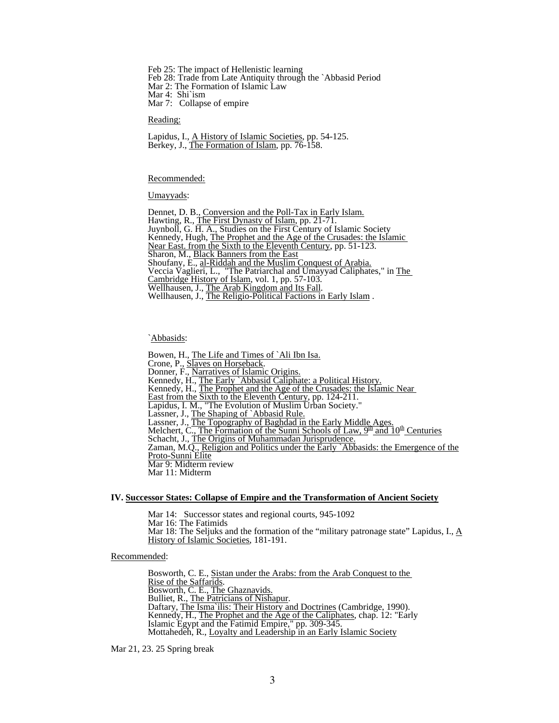Feb 25: The impact of Hellenistic learning Feb 28: Trade from Late Antiquity through the `Abbasid Period Mar 2: The Formation of Islamic Law Mar 4: Shi`ism Mar 7: Collapse of empire

Reading:

Lapidus, I., A History of Islamic Societies, pp. 54-125. Berkey, J., The Formation of Islam, pp. 76-158.

Recommended:

Umayyads:

Dennet, D. B., Conversion and the Poll-Tax in Early Islam.<br>Hawting, R., The First Dynasty of Islam, pp. 21-71.<br>Juynboll, G. H. A., Studies on the First Century of Islamic Society Kennedy, Hugh, The Prophet and the Age of the Crusades: the Islamic<br>Near East. from the Sixth to the Eleventh Century, pp. 51-123.<br>Sharon, M., Black Banners from the East<br>Shoufany, E., <u>al-Riddah and the Muslim Conquest of</u>

`Abbasids:

Bowen, H., <u>The Life and Times of `Ali Ibn Isa.</u><br>Crone, P., <u>Slaves on Horseback</u>.<br>Donner, F., <u>Narratives of Islamic Origins.</u><br>Kennedy, H., <u>The Early `Abbasid Caliphate: a Political History.</u><br>Kennedy, H., <u>The Prophet an</u> Lassner, J., The Snaping of Abbasid Ruic.<br>Lassner, J., The Topography of Baghdad in the Early Middle Ages.<br>Melchert, C., The Formation of the Sunni Schools of Law,  $9^{\text{th}}$  and  $10^{\text{th}}$  Centuries<br>Schacht, J., The Origi Proto-Sunni Elite Mar 9: Midterm review Mar 11: Midterm

## **IV. Successor States: Collapse of Empire and the Transformation of Ancient Society**

Mar 14: Successor states and regional courts, 945-1092 Mar 16: The Fatimids Mar 18: The Seljuks and the formation of the "military patronage state" Lapidus, I.,  $\underline{A}$ History of Islamic Societies, 181-191.

Recommended:

Bosworth, C. E., <u>Sistan under the Arabs: from the Arab Conquest to the Rise of the Saffarids.</u><br>Bosworth, C. E., <u>The Ghaznavids.</u><br>Bulliet, R., <u>The Patricians of Nishapur</u>.<br>Daftary, <u>The Isma`ilis: Their History and Doctr</u> Mottahedeh, R., Loyalty and Leadership in an Early Islamic Society

Mar 21, 23. 25 Spring break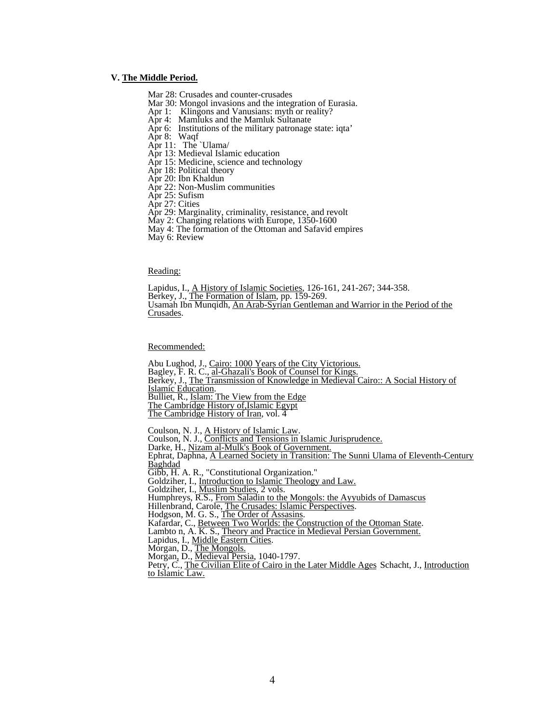## **V. The Middle Period.**

- Mar 28: Crusades and counter-crusades
- Mar 30: Mongol invasions and the integration of Eurasia.
- Apr 1: Klingons and Vanusians: myth or reality?
- Apr 4: Mamluks and the Mamluk Sultanate
- Apr 6: Institutions of the military patronage state: iqta'
- Apr 8: Waqf
- Apr 11: The `Ulama/
- Apr 13: Medieval Islamic education
- Apr 15: Medicine, science and technology
- Apr 18: Political theory
- Apr 20: Ibn Khaldun
- Apr 22: Non-Muslim communities
- Apr 25: Sufism
- Apr 27: Cities
- Apr 29: Marginality, criminality, resistance, and revolt
- May 2: Changing relations with Europe, 1350-1600
- May 4: The formation of the Ottoman and Safavid empires
- May 6: Review

Reading:<br>Lapidus, I., <u>A History of Islamic Societies</u>, 126-161, 241-267; 344-358. Berkey, J., The Formation of Islam, pp. 159-269.<br>Usamah Ibn Munqidh, An Arab-Syrian Gentleman and Warrior in the Period of the Crusades.

Recommended:

 Abu Lughod, J., Cairo: 1000 Years of the City Victorious. Bagley, F. R. C., al-Ghazali's Book of Counsel for Kings. Berkey, J., The Transmission of Knowledge in Medieval Cairo:: A Social History of Islamic Education. Bulliet, R., Islam: The View from the Edge The Cambridge History of,Islamic Egypt The Cambridge History of Iran, vol. 4 Coulson, N. J., <u>A History of Islamic Law</u>.<br>Coulson, N. J., *Conflicts and Tensions in Islamic Jurisprudence*.<br>Darke, H., <u>Nizam al-Mulk's Book of Government.</u><br>Ephrat, Daphna, <u>A Learned Society in Transition: The Sunni Ul</u> Baghdad<br>Gibb, H. A. R., "Constitutional Organization." Goldziher, I., *Introduction to Islamic Theology and Law.*<br>Goldziher, I., *Muslim Studies, 2 vols.* Humphreys, R.S., *From Saladin to the Mongols: the Ayyubids of Damascus* 

Hillenbrand, Carole, The Crusades: Islamic Perspectives.<br>Hodgson, M. G. S., <u>The Order of Assasins</u>.<br>Kafardar, C., <u>Between Two Worlds: the Construction of the Ottoman State</u>.<br>Lambto n, A. K. S., <u>Theory and Practice in Me</u>

- 
- 
- 
- Lapidus, I., <u>Middle Eastern Cities</u>.<br>Lapidus, I., <u>Middle Eastern Cities</u>.<br>Morgan, D., <u>The Mongols.</u><br>Morgan, D., <u>Medieval Persia</u>, 1040-1797.

Petry, C., The Civilian Elite of Cairo in the Later Middle Ages Schacht, J., Introduction to Islamic Law.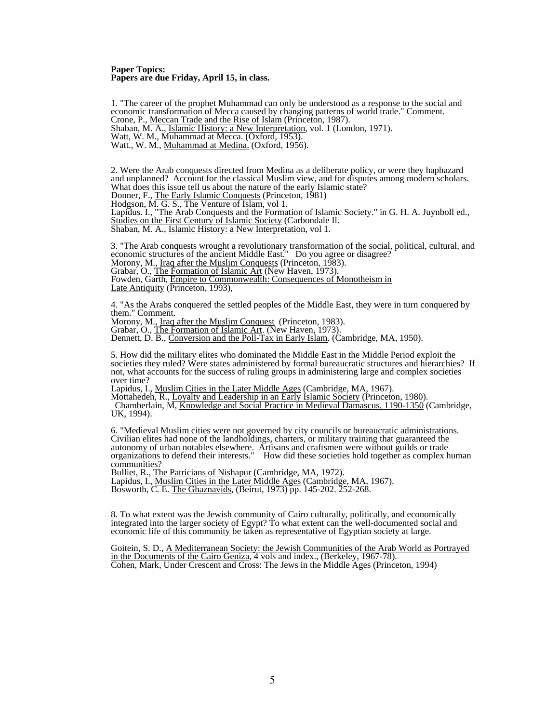#### **Paper Topics: Papers are due Friday, April 15, in class.**

1. "The career of the prophet Muhammad can only be understood as a response to the social and economic transformation of Mecca caused by changing patterns of world trade." Comment.<br>Crone, P., <u>Meccan Trade and the Rise of Islam</u> (Princeton, 1987). Shaban, M. A., *Islamic History: a New Interpretation*, vol. 1 (London, 1971). Watt, W. M., *Muhammad at Mecca.* (Oxford, 1953). Watt., W. M., *Muhammad at Medina.* (Oxford, 1956).

2. Were the Arab conquests directed from Medina as a deliberate policy, or were they haphazard and unplanned? Account for the classical Muslim view, and for disputes among modern scholars.<br>What does this issue tell us about the nature of the early Islamic state? Donner, F., The Early Islamic Conquests (Princeton, 1981)

Hodgson, M. G. S., The Venture of Islam, vol 1.

Lapidus. I., "The Arab Conquests and the Formation of Islamic Society." in G. H. A. Juynboll ed., Studies on the First Century of Islamic Society (Carbondale Il. Shaban, M. A., Islamic History: a New Interpretation, vol 1.

3. "The Arab conquests wrought a revolutionary transformation of the social, political, cultural, and economic structures of the ancient Middle East." Do you agree or disagree?<br>Morony, M., <u>Iraq after the Muslim Conquests</u> (Princeton, 1983).<br>Grabar, O., <u>The Formation of Islamic Art</u> (New Haven, 1973). Fowden, Garth, Empire to Commonwealth: Consequences of Monotheism in Late Antiquity (Princeton, 1993),

4. "As the Arabs conquered the settled peoples of the Middle East, they were in turn conquered by them." Comment.<br>Morony, M., Iraq after the Muslim Conquest (Princeton, 1983).

Grabar, M., The Formation of Islamic Art. (New Haven, 1973).<br>Dennett, D. B., Conversion and the Poll-Tax in Early Islam. (Cambridge, MA, 1950).

5. How did the military elites who dominated the Middle East in the Middle Period exploit the societies they ruled? Were states administered by formal bureaucratic structures and hierarchies? If not, what accounts for the success of ruling groups in administering large and complex societies

Lapidus, I., <u>Muslim Cities in the Later Middle Ages</u> (Cambridge, MA, 1967).<br>Mottahedeh, R., <u>Loyalty and Leadership in an Early Islamic Society</u> (Princeton, 1980).<br>Chamberlain, M. Knowledge and Social Practice in Medieval UK, 1994).

6. "Medieval Muslim cities were not governed by city councils or bureaucratic administrations. Civilian elites had none of the landholdings, charters, or military training that guaranteed the autonomy of urban notables elsewhere. Artisans and craftsmen were without guilds or trade organizations to defend their interests." How did these societies hold together as complex human communities?<br>Bulliet, R., <u>The Patricians of Nishapur</u> (Cambridge, MA, 1972).

Lapidus, I., *Muslim Cities in the Later Middle Ages* (Cambridge, MA, 1967). Bosworth, C. E. The Ghaznavids, (Beirut, 1973) pp. 145-202. 252-268.

8. To what extent was the Jewish community of Cairo culturally, politically, and economically integrated into the larger society of Egypt? To what extent can the well-documented social and economic life of this community be taken as representative of Egyptian society at large.

Goitein, S. D., A Mediterranean Society: the Jewish Communities of the Arab World as Portrayed in the Documents of the Cairo Geniza, 4 vols and index., (Berkeley, 1967-78). Cohen, Mark, Under Crescent and Cross: The Jews in the Middle Ages (Princeton, 1994)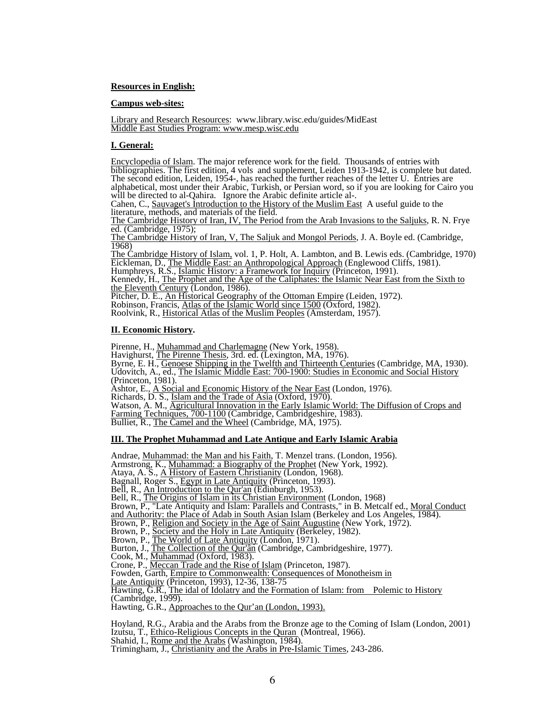## **Resources in English:**

## **Campus web-sites:**

Library and Research Resources: www.library.wisc.edu/guides/MidEast Middle East Studies Program: www.mesp.wisc.edu

## **I. General:**

Encyclopedia of Islam. The major reference work for the field. Thousands of entries with bibliographies. The first edition, 4 vols and supplement, Leiden 1913-1942, is complete but dated. The second edition, Leiden, 1954-, has reached the further reaches of the letter U. Entries are alphabetical, most under their Arabic, Turkish, or Persian word, so if you are looking for Cairo you will be directed to al-Qahira. Ignore the Arabic definite article al-.

Cahen, C., Sauvaget's Introduction to the History of the Muslim East A useful guide to the literature, methods, and materials of the field.

The Cambridge History of Iran, IV, The Period from the Arab Invasions to the Saljuks, R. N. Frye ed. (Cambridge, 1975);

The Cambridge History of Iran, V, The Saljuk and Mongol Periods, J. A. Boyle ed. (Cambridge, 1968)

The Cambridge History of Islam, vol. 1, P. Holt, A. Lambton, and B. Lewis eds. (Cambridge, 1970)<br>Eickleman, D., <u>The Middle East: an Anthropological Approach</u> (Englewood Cliffs, 1981).<br>Humphreys, R.S., <u>Islamic History: a </u>

Pitcher, D. E., An Historical Geography of the Ottoman Empire (Leiden, 1972). Robinson, Francis, Atlas of the Islamic World since 1500 (Oxford, 1982).

Roolvink, R., Historical Atlas of the Muslim Peoples (Amsterdam, 1957).

# **II. Economic History.**

Pirenne, H., Muhammad and Charlemagne (New York, 1958). Havighurst, The Pirenne Thesis, 3rd. ed. (Lexington, MA, 1976). Byrne, E. H., Genoese Shipping in the Twelfth and Thirteenth Centuries (Cambridge, MA, 1930). Udovitch, A., ed., The Islamic Middle East: 700-1900: Studies in Economic and Social History (Princeton, 1981). Ashtor, E., A Social and Economic History of the Near East (London, 1976).<br>Richards, D. S., Islam and the Trade of Asia (Oxford, 1970). Watson, A. M., Agricultural Innovation in the Early Islamic World: The Diffusion of Crops and Farming Techniques, 700-1100 (Cambridge, Cambridgeshire, 1983).<br>Bulliet, R., <u>The Camel and the Wheel</u> (Cambridge, MA, 1975).

# **III. The Prophet Muhammad and Late Antique and Early Islamic Arabia**

Andrae, <u>Muhammad: the Man and his Faith</u>, T. Menzel trans. (London, 1956).<br>Armstrong, K., <u>Muhammad: a Biography of the Prophet</u> (New York, 1992).<br>Ataya, A. S., <u>A History of Eastern Christianity</u> (London, 1968).<br>Bagnall, Bell, R., An Introduction to the Qur'an (Edinburgh, 1953).<br>Bell, R., <u>The Origins of Islam in its Christian Environment</u> (London, 1968) Brown, P., "Late Antiquity and Islam: Parallels and Contrasts," in B. Metcalf ed., Moral Conduct and Authority: the Place of Adab in South Asian Islam (Berkeley and Los Angeles, 1984). Brown, P., Religion and Society in the Age of Saint Augustine (New York, 1972). Brown, P., Society and the Holy in Late Antiquity (Berkeley, 1982).<br>Brown, P., The World of Late Antiquity (London, 1971).<br>Burton, J., <u>The Collection of the Qur'ân</u> (Cambridge, Cambridgeshire, 1977).<br>Cook, M., <u>Muhammad</u> Crone, P., <u>Meccan Trade</u> and the Rise of Islam (Princeton, 1987).<br>Fowden, Garth, <u>Empire to Commonwealth: Consequences of Monotheism in</u><br>Late Antiquity (Princeton, 1993), 12-36, 138-75<br>Hawting, G.R., The idal of Idolatry Hawting, G.R., Approaches to the Qur'an (London, 1993).

Hoyland, R.G., Arabia and the Arabs from the Bronze age to the Coming of Islam (London, 2001) Izutsu, T., Ethico-Religious Concepts in the Quran (Montreal, 1966). Shahid, I., <del>Rome and the Arabs</del> (Washington, 1984). Trimingham, J., Christianity and the Arabs in Pre-Islamic Times, 243-286.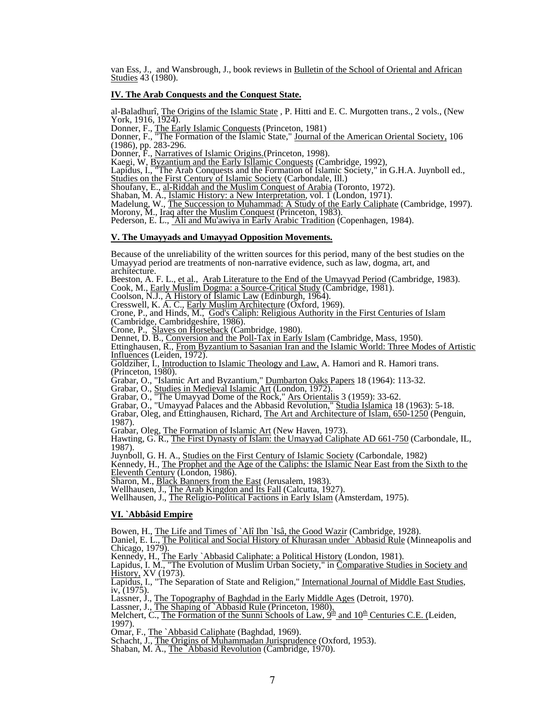van Ess, J., and Wansbrough, J., book reviews in Bulletin of the School of Oriental and African Studies 43 (1980).

# **IV. The Arab Conquests and the Conquest State.**

al-Baladhurî, The Origins of the Islamic State, P. Hitti and E. C. Murgotten trans., 2 vols., (New York, 1916, 1924). York, 1916, 1924).<br>Donner, F., The Early Islamic Conquests (Princeton, 1981)

Donner, F., "The Formation of the Islamic State," Journal of the American Oriental Society, 106 (1986), pp. 283-296.<br>Donner, F., <u>Narratives of Islamic Origins.</u>(Princeton, 1998).

Example To and the Early Islamic Conquests (Cambridge, 1992),<br>Lapidus, I., "The Arab Conquests and the Formation of Islamic Society," in G.H.A. Juynboll ed.,<br>Studies on the First Century of Islamic Society (Carbondale, Ill

Shaban, M. A., Islamic History: a New Interpretation, vol. 1 (London, 1971).<br>Madelung, W., The Succession to Muhammad: A Study of the Early Caliphate (Cambridge, 1997).<br>Morony, M., Iraq after the Muslim Conquest (Princeton

## **V. The Umayyads and Umayyad Opposition Movements.**

Because of the unreliability of the written sources for this period, many of the best studies on the Umayyad period are treatments of non-narrative evidence, such as law, dogma, art, and architecture.

Beeston, A. F. L., et al., Arab Literature to the End of the Umayyad Period (Cambridge, 1983).<br>Cook, M., Early Muslim Dogma: a Source-Critical Study (Cambridge, 1981).<br>Coolson, N.J., <u>A History of Islamic Law</u> (Edinburgh,

Crone, P., and Hinds, M., God's Caliph: Religious Authority in the First Centuries of Islam (Cambridge, Cambridgeshire, 1986).

Crone, P., Slaves on Horseback (Cambridge, 1980).<br>Crone, P., Slaves on Horseback (Cambridge, 1980).<br>Dennet, D. B., Conversion and the Poll-Tax in Early Islam (Cambridge, Mass, 1950).<br>Ettinghausen, R., From Byzantium to Sas Influences (Leiden, 1972).

Goldziher, I., Introduction to Islamic Theology and Law, A. Hamori and R. Hamori trans.<br>(Princeton, 1980).

(Princeton, 1980).<br>Grabar, O., "Islamic Art and Byzantium," <u>Dumbarton Oaks Papers</u> 18 (1964): 113-32.<br>Grabar, O., Studies in Medieval Islamic Art (London, 1972).

Grabar, O., "The Umayyad Dome of the Rock," Ars Orientalis 3 (1959): 33-62.<br>Grabar, O., "Umayyad Palaces and the Abbasid Revolution," Studia Islamica 18 (1963): 5-18.<br>Grabar, Oleg, and Ettinghausen, Richard, The Art and Ar

1987).<br>Grabar, Oleg, The Formation of Islamic Art (New Haven, 1973).

Hawting, G. R., The First Dynasty of Islam: the Umayyad Caliphate AD 661-750 (Carbondale, IL, 1987).

Juynboll, G. H. A., Studies on the First Century of Islamic Society (Carbondale, 1982)

Kennedy, H., The Prophet and the Age of the Caliphs: the Islamic Near East from the Sixth to the Eleventh Century (London, 1986). Sharon, M., Black Banners from the East (Jerusalem, 1983).

Wellhausen, J., The Arab Kingdon and Its Fall (Calcutta, 1927).<br>Wellhausen, J., <u>The Religio-Political Factions in Early Islam</u> (Amsterdam, 1975).

# **VI. `Abbâsid Empire**

Bowen, H., The Life and Times of `Alî Ibn `Isâ, the Good Wazir (Cambridge, 1928).<br>Daniel, E. L., The Political and Social History of Khurasan under `Abbasid Rule (Minneapolis and<br>Chicago, 1979).

Kennedy, H., The Early `Abbasid Caliphate: a Political History (London, 1981).<br>Lapidus, I. M., "The Evolution of Muslim Urban Society," in Comparative Studies in Society and History, XV (1973).<br>Lapidus, I., "The Separation

iv, (1975).<br>Lassner, J., <u>The Topography of Baghdad in the Early Middle Ages</u> (Detroit, 1970).<br>Lassner, J., <u>The Shaping of `Abbasid Rule</u> (Princeton, 1980),<br>Melchert, C., <u>The Formation of the Sunni Schools of Law, 9<sup>th</sup></u> 1997).

Omar, F., <u>The `Abbasid Caliphate</u> (Baghdad, 1969).<br>Schacht, J., <u>The Origins of Muhammadan Jurisprudence</u> (Oxford, 1953).<br>Shaban, M. A., <u>The `Abbasid Revolution</u> (Cambridge, 1970).